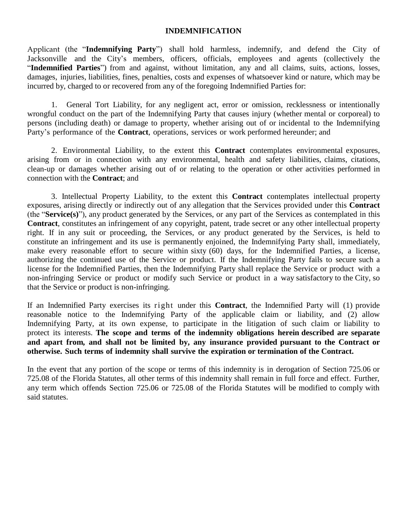# **INDEMNIFICATION**

Applicant (the "**Indemnifying Party**") shall hold harmless, indemnify, and defend the City of Jacksonville and the City's members, officers, officials, employees and agents (collectively the "**Indemnified Parties**") from and against, without limitation, any and all claims, suits, actions, losses, damages, injuries, liabilities, fines, penalties, costs and expenses of whatsoever kind or nature, which may be incurred by, charged to or recovered from any of the foregoing Indemnified Parties for:

1. General Tort Liability, for any negligent act, error or omission, recklessness or intentionally wrongful conduct on the part of the Indemnifying Party that causes injury (whether mental or corporeal) to persons (including death) or damage to property, whether arising out of or incidental to the Indemnifying Party's performance of the **Contract**, operations, services or work performed hereunder; and

2. Environmental Liability, to the extent this **Contract** contemplates environmental exposures, arising from or in connection with any environmental, health and safety liabilities, claims, citations, clean-up or damages whether arising out of or relating to the operation or other activities performed in connection with the **Contract**; and

3. Intellectual Property Liability, to the extent this **Contract** contemplates intellectual property exposures, arising directly or indirectly out of any allegation that the Services provided under this **Contract** (the "**Service(s)**"), any product generated by the Services, or any part of the Services as contemplated in this **Contract**, constitutes an infringement of any copyright, patent, trade secret or any other intellectual property right. If in any suit or proceeding, the Services, or any product generated by the Services, is held to constitute an infringement and its use is permanently enjoined, the Indemnifying Party shall, immediately, make every reasonable effort to secure within sixty (60) days, for the Indemnified Parties, a license, authorizing the continued use of the Service or product. If the Indemnifying Party fails to secure such a license for the Indemnified Parties, then the Indemnifying Party shall replace the Service or product with a non-infringing Service or product or modify such Service or product in a way satisfactory to the City, so that the Service or product is non-infringing.

If an Indemnified Party exercises its right under this **Contract**, the Indemnified Party will (1) provide reasonable notice to the Indemnifying Party of the applicable claim or liability, and (2) allow Indemnifying Party, at its own expense, to participate in the litigation of such claim or liability to protect its interests. **The scope and terms of the indemnity obligations herein described are separate and apart from, and shall not be limited by, any insurance provided pursuant to the Contract or otherwise. Such terms of indemnity shall survive the expiration or termination of the Contract.**

In the event that any portion of the scope or terms of this indemnity is in derogation of Section 725.06 or 725.08 of the Florida Statutes, all other terms of this indemnity shall remain in full force and effect. Further, any term which offends Section 725.06 or 725.08 of the Florida Statutes will be modified to comply with said statutes.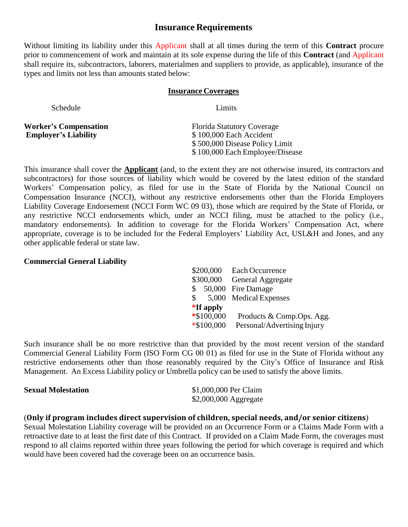# **Insurance Requirements**

Without limiting its liability under this Applicant shall at all times during the term of this **Contract** procure prior to commencement of work and maintain at its sole expense during the life of this **Contract** (and Applicant shall require its, subcontractors, laborers, materialmen and suppliers to provide, as applicable), insurance of the types and limits not less than amounts stated below:

#### **Insurance Coverages**

| Schedule                                                    | Limits                                                                                                                            |
|-------------------------------------------------------------|-----------------------------------------------------------------------------------------------------------------------------------|
| <b>Worker's Compensation</b><br><b>Employer's Liability</b> | <b>Florida Statutory Coverage</b><br>\$100,000 Each Accident<br>\$500,000 Disease Policy Limit<br>\$100,000 Each Employee/Disease |

This insurance shall cover the **Applicant** (and, to the extent they are not otherwise insured, its contractors and subcontractors) for those sources of liability which would be covered by the latest edition of the standard Workers' Compensation policy, as filed for use in the State of Florida by the National Council on Compensation Insurance (NCCI), without any restrictive endorsements other than the Florida Employers Liability Coverage Endorsement (NCCI Form WC 09 03), those which are required by the State of Florida, or any restrictive NCCI endorsements which, under an NCCI filing, must be attached to the policy (i.e., mandatory endorsements). In addition to coverage for the Florida Workers' Compensation Act, where appropriate, coverage is to be included for the Federal Employers' Liability Act, USL&H and Jones, and any other applicable federal or state law.

# **Commercial General Liability**

| <b>Each Occurrence</b>      |
|-----------------------------|
| General Aggregate           |
| \$ 50,000 Fire Damage       |
| 5,000 Medical Expenses      |
|                             |
| Products & Comp.Ops. Agg.   |
| Personal/Advertising Injury |
|                             |

Such insurance shall be no more restrictive than that provided by the most recent version of the standard Commercial General Liability Form (ISO Form CG 00 01) as filed for use in the State of Florida without any restrictive endorsements other than those reasonably required by the City's Office of Insurance and Risk Management. An Excess Liability policy or Umbrella policy can be used to satisfy the above limits.

| <b>Sexual Molestation</b> | \$1,000,000 Per Claim |
|---------------------------|-----------------------|
|                           | \$2,000,000 Aggregate |

# (**Only if program includes direct supervision of children, special needs, and/or senior citizens**)

Sexual Molestation Liability coverage will be provided on an Occurrence Form or a Claims Made Form with a retroactive date to at least the first date of this Contract. If provided on a Claim Made Form, the coverages must respond to all claims reported within three years following the period for which coverage is required and which would have been covered had the coverage been on an occurrence basis.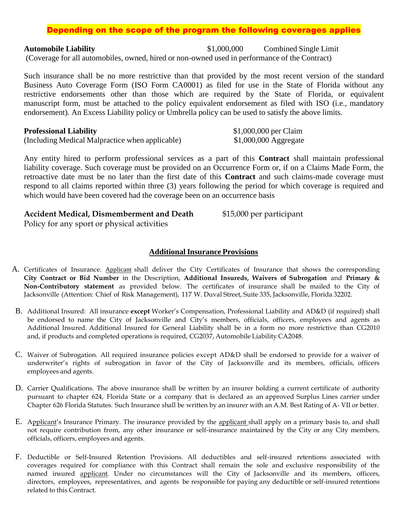# Depending on the scope of the program the following coverages applies

**Automobile Liability** \$1,000,000 Combined Single Limit (Coverage for all automobiles, owned, hired or non-owned used in performance of the Contract)

Such insurance shall be no more restrictive than that provided by the most recent version of the standard Business Auto Coverage Form (ISO Form CA0001) as filed for use in the State of Florida without any restrictive endorsements other than those which are required by the State of Florida, or equivalent manuscript form, must be attached to the policy equivalent endorsement as filed with ISO (i.e., mandatory endorsement). An Excess Liability policy or Umbrella policy can be used to satisfy the above limits.

#### **Professional Liability 1,000,000 per Claim**

| (Including Medical Malpractice when applicable) |  | \$1,000,000 Aggregate |  |
|-------------------------------------------------|--|-----------------------|--|
|                                                 |  |                       |  |

Any entity hired to perform professional services as a part of this **Contract** shall maintain professional liability coverage. Such coverage must be provided on an Occurrence Form or, if on a Claims Made Form, the retroactive date must be no later than the first date of this **Contract** and such claims-made coverage must respond to all claims reported within three (3) years following the period for which coverage is required and which would have been covered had the coverage been on an occurrence basis

# **Accident Medical, Dismemberment and Death** \$15,000 per participant

Policy for any sport or physical activities

# **Additional Insurance Provisions**

- A. Certificates of Insurance. Applicant shall deliver the City Certificates of Insurance that shows the corresponding **City Contract or Bid Number** in the Description, **Additional Insureds, Waivers of Subrogation** and **Primary & Non-Contributory statement** as provided below. The certificates of insurance shall be mailed to the City of Jacksonville (Attention: Chief of Risk Management), 117 W. Duval Street, Suite 335, Jacksonville, Florida 32202.
- B. Additional Insured: All insurance **except** Worker's Compensation, Professional Liability and AD&D (if required) shall be endorsed to name the City of Jacksonville and City's members, officials, officers, employees and agents as Additional Insured. Additional Insured for General Liability shall be in a form no more restrictive than CG2010 and, if products and completed operations is required, CG2037, Automobile Liability CA2048.
- C. Waiver of Subrogation. All required insurance policies except AD&D shall be endorsed to provide for a waiver of underwriter's rights of subrogation in favor of the City of Jacksonville and its members, officials, officers employees and agents.
- D. Carrier Qualifications. The above insurance shall be written by an insurer holding a current certificate of authority pursuant to chapter 624, Florida State or a company that is declared as an approved Surplus Lines carrier under Chapter 626 Florida Statutes. Such Insurance shall be written by an insurer with an A.M. Best Rating of A- VII or better.
- E. Applicant's Insurance Primary. The insurance provided by the applicant shall apply on a primary basis to, and shall not require contribution from, any other insurance or self-insurance maintained by the City or any City members, officials, officers, employees and agents.
- F. Deductible or Self-Insured Retention Provisions. All deductibles and self-insured retentions associated with coverages required for compliance with this Contract shall remain the sole and exclusive responsibility of the named insured applicant. Under no circumstances will the City of Jacksonville and its members, officers, directors, employees, representatives, and agents be responsible for paying any deductible or self-insured retentions related to this Contract.